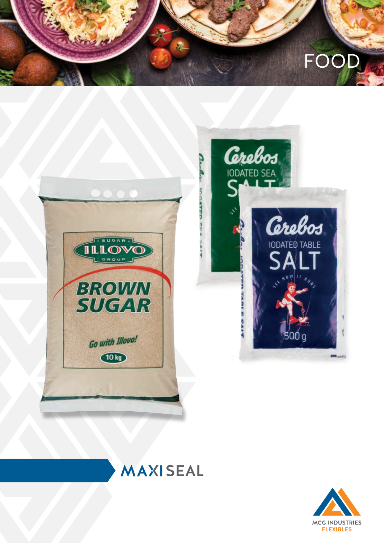